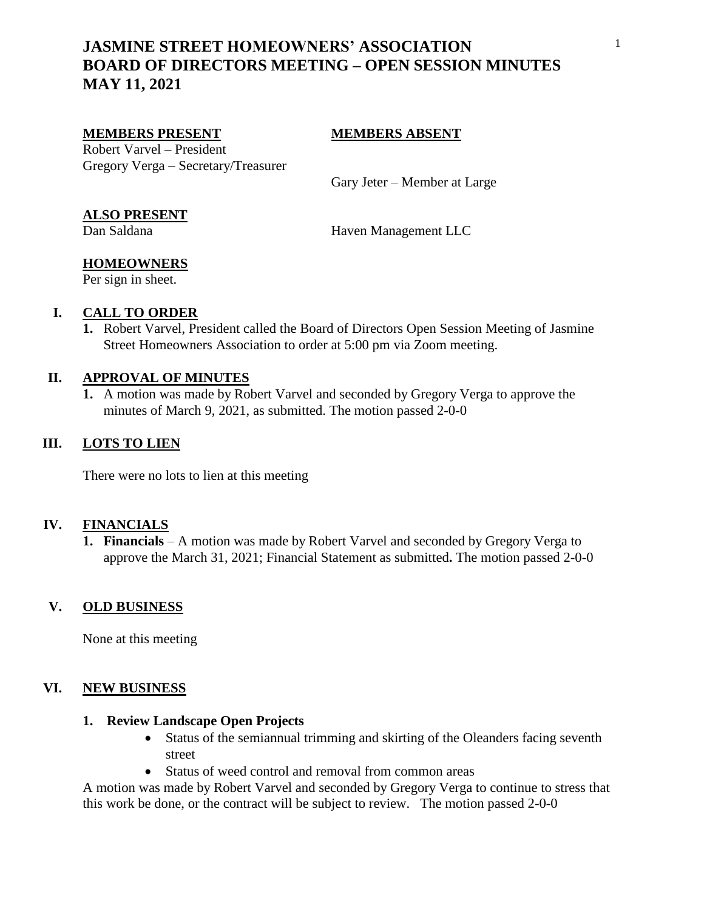# **JASMINE STREET HOMEOWNERS' ASSOCIATION BOARD OF DIRECTORS MEETING – OPEN SESSION MINUTES MAY 11, 2021**

#### **MEMBERS PRESENT MEMBERS ABSENT**

Robert Varvel – President Gregory Verga – Secretary/Treasurer

Gary Jeter – Member at Large

### **ALSO PRESENT**

Dan Saldana Haven Management LLC

# **HOMEOWNERS**

Per sign in sheet.

## **I. CALL TO ORDER**

**1.** Robert Varvel, President called the Board of Directors Open Session Meeting of Jasmine Street Homeowners Association to order at 5:00 pm via Zoom meeting.

### **II. APPROVAL OF MINUTES**

**1.** A motion was made by Robert Varvel and seconded by Gregory Verga to approve the minutes of March 9, 2021, as submitted. The motion passed 2-0-0

## **III. LOTS TO LIEN**

There were no lots to lien at this meeting

## **IV. FINANCIALS**

**1. Financials** – A motion was made by Robert Varvel and seconded by Gregory Verga to approve the March 31, 2021; Financial Statement as submitted**.** The motion passed 2-0-0

#### **V. OLD BUSINESS**

None at this meeting

#### **VI. NEW BUSINESS**

#### **1. Review Landscape Open Projects**

- Status of the semiannual trimming and skirting of the Oleanders facing seventh street
- Status of weed control and removal from common areas

A motion was made by Robert Varvel and seconded by Gregory Verga to continue to stress that this work be done, or the contract will be subject to review. The motion passed 2-0-0